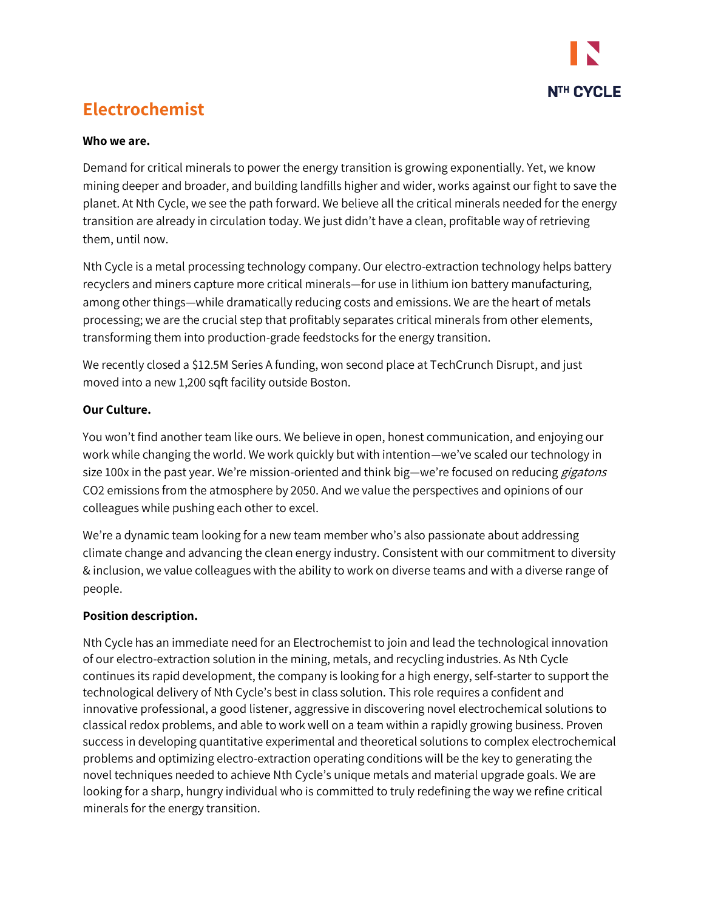

# **Electrochemist**

#### **Who we are.**

Demand for critical minerals to power the energy transition is growing exponentially. Yet, we know mining deeper and broader, and building landfills higher and wider, works against our fight to save the planet. At Nth Cycle, we see the path forward. We believe all the critical minerals needed for the energy transition are already in circulation today. We just didn't have a clean, profitable way of retrieving them, until now.

Nth Cycle is a metal processing technology company. Our electro-extraction technology helps battery recyclers and miners capture more critical minerals—for use in lithium ion battery manufacturing, among other things—while dramatically reducing costs and emissions. We are the heart of metals processing; we are the crucial step that profitably separates critical minerals from other elements, transforming them into production-grade feedstocks for the energy transition.

We recently closed a \$12.5M Series A funding, won second place at TechCrunch Disrupt, and just moved into a new 1,200 sqft facility outside Boston.

### **Our Culture.**

You won't find another team like ours. We believe in open, honest communication, and enjoying our work while changing the world. We work quickly but with intention—we've scaled our technology in size 100x in the past year. We're mission-oriented and think big—we're focused on reducing *gigatons* CO2 emissions from the atmosphere by 2050. And we value the perspectives and opinions of our colleagues while pushing each other to excel.

We're a dynamic team looking for a new team member who's also passionate about addressing climate change and advancing the clean energy industry. Consistent with our commitment to diversity & inclusion, we value colleagues with the ability to work on diverse teams and with a diverse range of people.

### **Position description.**

Nth Cycle has an immediate need for an Electrochemist to join and lead the technological innovation of our electro-extraction solution in the mining, metals, and recycling industries. As Nth Cycle continues its rapid development, the company is looking for a high energy, self-starter to support the technological delivery of Nth Cycle's best in class solution. This role requires a confident and innovative professional, a good listener, aggressive in discovering novel electrochemical solutions to classical redox problems, and able to work well on a team within a rapidly growing business. Proven success in developing quantitative experimental and theoretical solutions to complex electrochemical problems and optimizing electro-extraction operating conditions will be the key to generating the novel techniques needed to achieve Nth Cycle's unique metals and material upgrade goals. We are looking for a sharp, hungry individual who is committed to truly redefining the way we refine critical minerals for the energy transition.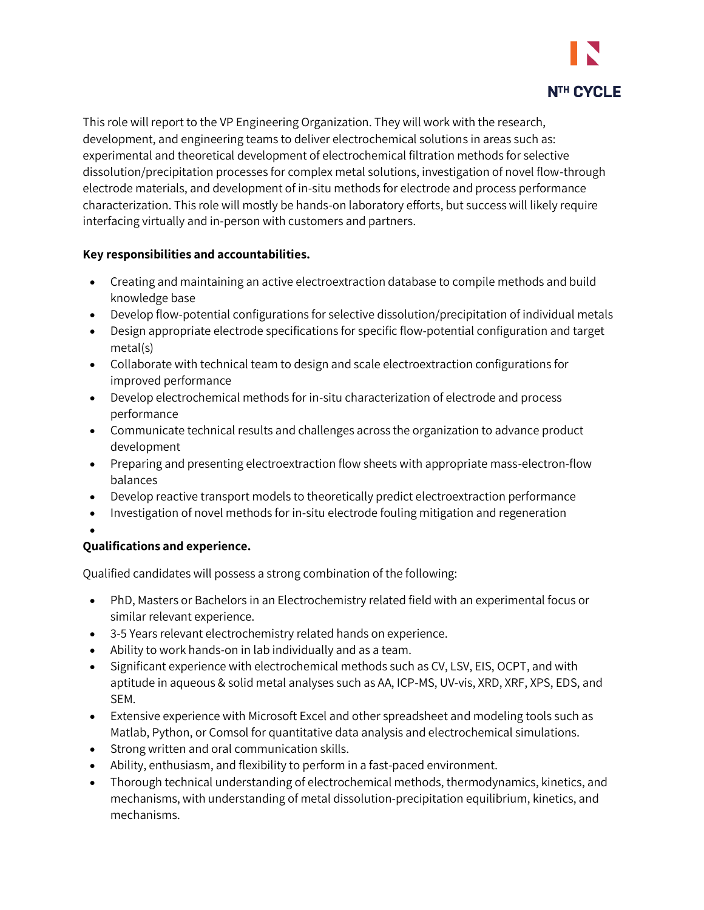

This role will report to the VP Engineering Organization. They will work with the research, development, and engineering teams to deliver electrochemical solutions in areas such as: experimental and theoretical development of electrochemical filtration methods for selective dissolution/precipitation processes for complex metal solutions, investigation of novel flow-through electrode materials, and development of in-situ methods for electrode and process performance characterization. This role will mostly be hands-on laboratory efforts, but success will likely require interfacing virtually and in-person with customers and partners.

# **Key responsibilities and accountabilities.**

- Creating and maintaining an active electroextraction database to compile methods and build knowledge base
- Develop flow-potential configurations for selective dissolution/precipitation of individual metals
- Design appropriate electrode specifications for specific flow-potential configuration and target metal(s)
- Collaborate with technical team to design and scale electroextraction configurations for improved performance
- Develop electrochemical methods for in-situ characterization of electrode and process performance
- Communicate technical results and challenges across the organization to advance product development
- Preparing and presenting electroextraction flow sheets with appropriate mass-electron-flow balances
- Develop reactive transport models to theoretically predict electroextraction performance
- Investigation of novel methods for in-situ electrode fouling mitigation and regeneration
- •

### **Qualifications and experience.**

Qualified candidates will possess a strong combination of the following:

- PhD, Masters or Bachelors in an Electrochemistry related field with an experimental focus or similar relevant experience.
- 3-5 Years relevant electrochemistry related hands on experience.
- Ability to work hands-on in lab individually and as a team.
- Significant experience with electrochemical methods such as CV, LSV, EIS, OCPT, and with aptitude in aqueous & solid metal analyses such as AA, ICP-MS, UV-vis, XRD, XRF, XPS, EDS, and SEM.
- Extensive experience with Microsoft Excel and other spreadsheet and modeling tools such as Matlab, Python, or Comsol for quantitative data analysis and electrochemical simulations.
- Strong written and oral communication skills.
- Ability, enthusiasm, and flexibility to perform in a fast-paced environment.
- Thorough technical understanding of electrochemical methods, thermodynamics, kinetics, and mechanisms, with understanding of metal dissolution-precipitation equilibrium, kinetics, and mechanisms.